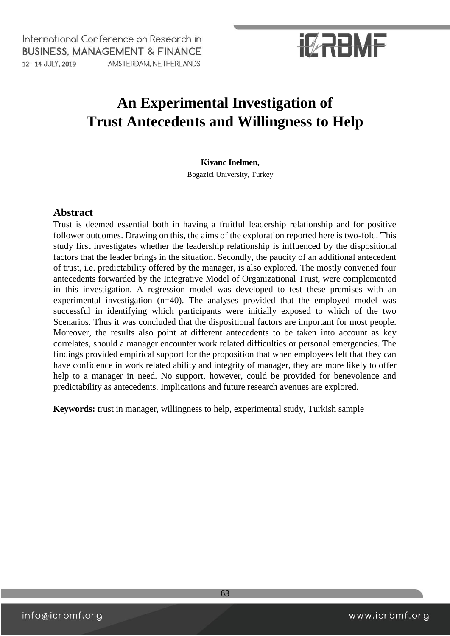# **IZRBMF**

### **An Experimental Investigation of Trust Antecedents and Willingness to Help**

#### **Kivanc Inelmen,**

Bogazici University, Turkey

#### **Abstract**

Trust is deemed essential both in having a fruitful leadership relationship and for positive follower outcomes. Drawing on this, the aims of the exploration reported here is two-fold. This study first investigates whether the leadership relationship is influenced by the dispositional factors that the leader brings in the situation. Secondly, the paucity of an additional antecedent of trust, i.e. predictability offered by the manager, is also explored. The mostly convened four antecedents forwarded by the Integrative Model of Organizational Trust, were complemented in this investigation. A regression model was developed to test these premises with an experimental investigation (n=40). The analyses provided that the employed model was successful in identifying which participants were initially exposed to which of the two Scenarios. Thus it was concluded that the dispositional factors are important for most people. Moreover, the results also point at different antecedents to be taken into account as key correlates, should a manager encounter work related difficulties or personal emergencies. The findings provided empirical support for the proposition that when employees felt that they can have confidence in work related ability and integrity of manager, they are more likely to offer help to a manager in need. No support, however, could be provided for benevolence and predictability as antecedents. Implications and future research avenues are explored.

**Keywords:** trust in manager, willingness to help, experimental study, Turkish sample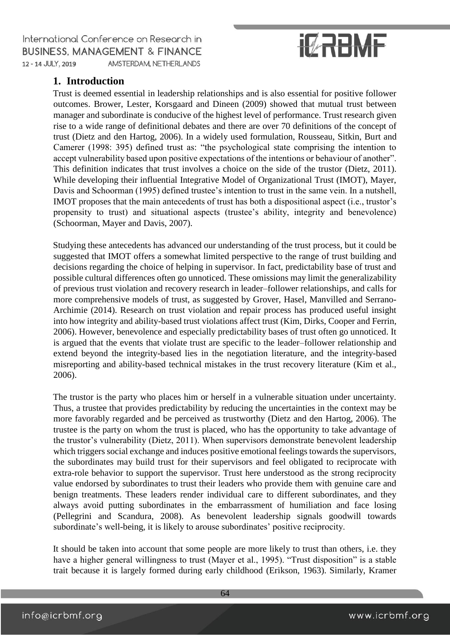# **IZRABME**

### **1. Introduction**

Trust is deemed essential in leadership relationships and is also essential for positive follower outcomes. Brower, Lester, Korsgaard and Dineen (2009) showed that mutual trust between manager and subordinate is conducive of the highest level of performance. Trust research given rise to a wide range of definitional debates and there are over 70 definitions of the concept of trust (Dietz and den Hartog, 2006). In a widely used formulation, Rousseau, Sitkin, Burt and Camerer (1998: 395) defined trust as: "the psychological state comprising the intention to accept vulnerability based upon positive expectations of the intentions or behaviour of another". This definition indicates that trust involves a choice on the side of the trustor (Dietz, 2011). While developing their influential Integrative Model of Organizational Trust (IMOT), Mayer, Davis and Schoorman (1995) defined trustee's intention to trust in the same vein. In a nutshell, IMOT proposes that the main antecedents of trust has both a dispositional aspect (i.e., trustor's propensity to trust) and situational aspects (trustee's ability, integrity and benevolence) (Schoorman, Mayer and Davis, 2007).

Studying these antecedents has advanced our understanding of the trust process, but it could be suggested that IMOT offers a somewhat limited perspective to the range of trust building and decisions regarding the choice of helping in supervisor. In fact, predictability base of trust and possible cultural differences often go unnoticed. These omissions may limit the generalizability of previous trust violation and recovery research in leader–follower relationships, and calls for more comprehensive models of trust, as suggested by Grover, [Hasel,](http://www.sciencedirect.com/science/article/pii/S0263237314000188#!) [Manvilled](http://www.sciencedirect.com/science/article/pii/S0263237314000188#!) [and Serrano-](http://www.sciencedirect.com/science/article/pii/S0263237314000188#!)[Archimie](http://www.sciencedirect.com/science/article/pii/S0263237314000188#!) (2014). Research on trust violation and repair process has produced useful insight into how integrity and ability-based trust violations affect trust [\(Kim, Dirks, Cooper and Ferrin,](http://www.sciencedirect.com/science/article/pii/S0263237314000188#b0025)  [2006\).](http://www.sciencedirect.com/science/article/pii/S0263237314000188#b0025) However, benevolence and especially predictability bases of trust often go unnoticed. It is argued that the events that violate trust are specific to the leader–follower relationship and extend beyond the integrity-based lies in the negotiation literature, and the integrity-based misreporting and ability-based technical mistakes in the trust recovery literature (Kim et al., 2006).

The trustor is the party who places him or herself in a vulnerable situation under uncertainty. Thus, a trustee that provides predictability by reducing the uncertainties in the context may be more favorably regarded and be perceived as trustworthy (Dietz and den Hartog, 2006). The trustee is the party on whom the trust is placed, who has the opportunity to take advantage of the trustor's vulnerability (Dietz, 2011). When supervisors demonstrate benevolent leadership which triggers social exchange and induces positive emotional feelings towards the supervisors, the subordinates may build trust for their supervisors and feel obligated to reciprocate with extra-role behavior to support the supervisor. Trust here understood as the strong reciprocity value endorsed by subordinates to trust their leaders who provide them with genuine care and benign treatments. These leaders render individual care to different subordinates, and they always avoid putting subordinates in the embarrassment of humiliation and face losing (Pellegrini and Scandura, 2008). As benevolent leadership signals goodwill towards subordinate's well-being, it is likely to arouse subordinates' positive reciprocity.

It should be taken into account that some people are more likely to trust than others, i.e. they have a higher general willingness to trust (Mayer et al., 1995). "Trust disposition" is a stable trait because it is largely formed during early childhood (Erikson, 1963). Similarly, Kramer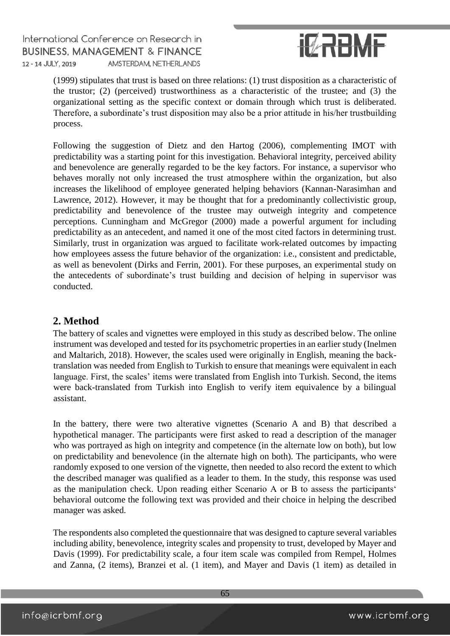

(1999) stipulates that trust is based on three relations: (1) trust disposition as a characteristic of the trustor; (2) (perceived) trustworthiness as a characteristic of the trustee; and (3) the organizational setting as the specific context or domain through which trust is deliberated. Therefore, a subordinate's trust disposition may also be a prior attitude in his/her trustbuilding process.

Following the suggestion of Dietz and den Hartog (2006), complementing IMOT with predictability was a starting point for this investigation. Behavioral integrity, perceived ability and benevolence are generally regarded to be the key factors. For instance, a supervisor who behaves morally not only increased the trust atmosphere within the organization, but also increases the likelihood of employee generated helping behaviors (Kannan-Narasimhan and Lawrence, 2012). However, it may be thought that for a predominantly collectivistic group, predictability and benevolence of the trustee may outweigh integrity and competence perceptions. Cunningham and McGregor (2000) made a powerful argument for including predictability as an antecedent, and named it one of the most cited factors in determining trust. Similarly, trust in organization was argued to facilitate work-related outcomes by impacting how employees assess the future behavior of the organization: i.e., consistent and predictable, as well as benevolent (Dirks and Ferrin, 2001). For these purposes, an experimental study on the antecedents of subordinate's trust building and decision of helping in supervisor was conducted.

### **2. Method**

The battery of scales and vignettes were employed in this study as described below. The online instrument was developed and tested for its psychometric properties in an earlier study (Inelmen and Maltarich, 2018). However, the scales used were originally in English, meaning the backtranslation was needed from English to Turkish to ensure that meanings were equivalent in each language. First, the scales' items were translated from English into Turkish. Second, the items were back-translated from Turkish into English to verify item equivalence by a bilingual assistant.

In the battery, there were two alterative vignettes (Scenario A and B) that described a hypothetical manager. The participants were first asked to read a description of the manager who was portrayed as high on integrity and competence (in the alternate low on both), but low on predictability and benevolence (in the alternate high on both). The participants, who were randomly exposed to one version of the vignette, then needed to also record the extent to which the described manager was qualified as a leader to them. In the study, this response was used as the manipulation check. Upon reading either Scenario A or B to assess the participants' behavioral outcome the following text was provided and their choice in helping the described manager was asked.

The respondents also completed the questionnaire that was designed to capture several variables including ability, benevolence, integrity scales and propensity to trust, developed by Mayer and Davis (1999). For predictability scale, a four item scale was compiled from Rempel, Holmes and Zanna, (2 items), Branzei et al. (1 item), and Mayer and Davis (1 item) as detailed in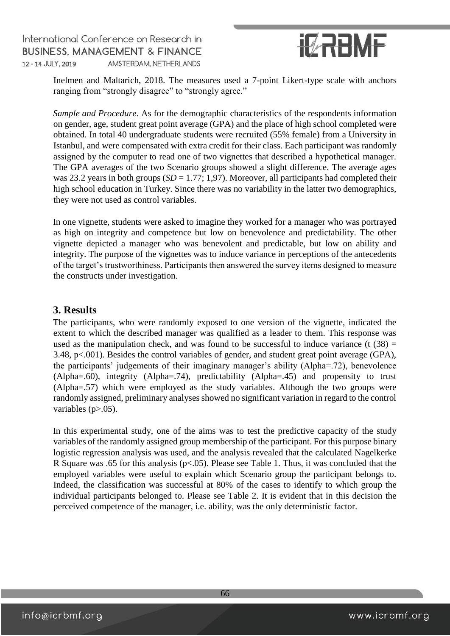

Inelmen and Maltarich, 2018. The measures used a 7-point Likert-type scale with anchors ranging from "strongly disagree" to "strongly agree."

*Sample and Procedure*. As for the demographic characteristics of the respondents information on gender, age, student great point average (GPA) and the place of high school completed were obtained. In total 40 undergraduate students were recruited (55% female) from a University in Istanbul, and were compensated with extra credit for their class. Each participant was randomly assigned by the computer to read one of two vignettes that described a hypothetical manager. The GPA averages of the two Scenario groups showed a slight difference. The average ages was 23.2 years in both groups (*SD* = 1.77; 1,97). Moreover, all participants had completed their high school education in Turkey. Since there was no variability in the latter two demographics, they were not used as control variables.

In one vignette, students were asked to imagine they worked for a manager who was portrayed as high on integrity and competence but low on benevolence and predictability. The other vignette depicted a manager who was benevolent and predictable, but low on ability and integrity. The purpose of the vignettes was to induce variance in perceptions of the antecedents of the target's trustworthiness. Participants then answered the survey items designed to measure the constructs under investigation.

#### **3. Results**

The participants, who were randomly exposed to one version of the vignette, indicated the extent to which the described manager was qualified as a leader to them. This response was used as the manipulation check, and was found to be successful to induce variance (t  $(38)$  = 3.48, p<.001). Besides the control variables of gender, and student great point average (GPA), the participants' judgements of their imaginary manager's ability (Alpha=.72), benevolence (Alpha=.60), integrity (Alpha=.74), predictability (Alpha=.45) and propensity to trust (Alpha=.57) which were employed as the study variables. Although the two groups were randomly assigned, preliminary analyses showed no significant variation in regard to the control variables (p>.05).

In this experimental study, one of the aims was to test the predictive capacity of the study variables of the randomly assigned group membership of the participant. For this purpose binary logistic regression analysis was used, and the analysis revealed that the calculated Nagelkerke R Square was .65 for this analysis (p<.05). Please see Table 1. Thus, it was concluded that the employed variables were useful to explain which Scenario group the participant belongs to. Indeed, the classification was successful at 80% of the cases to identify to which group the individual participants belonged to. Please see Table 2. It is evident that in this decision the perceived competence of the manager, i.e. ability, was the only deterministic factor.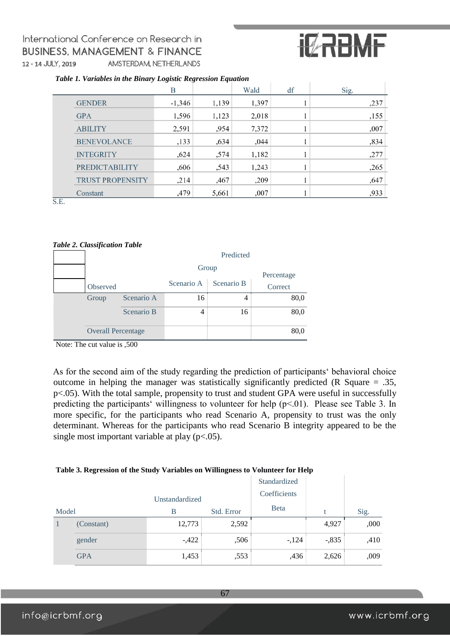# **IZRBMF**

|  |  | Table 1. Variables in the Binary Logistic Regression Equation |  |
|--|--|---------------------------------------------------------------|--|
|  |  |                                                               |  |

|              |                         | В        |       | Wald  | df | Sig. |
|--------------|-------------------------|----------|-------|-------|----|------|
|              | <b>GENDER</b>           | $-1,346$ | 1,139 | 1,397 |    | ,237 |
|              | <b>GPA</b>              | 1,596    | 1,123 | 2,018 |    | ,155 |
|              | <b>ABILITY</b>          | 2,591    | ,954  | 7,372 |    | ,007 |
|              | <b>BENEVOLANCE</b>      | ,133     | ,634  | ,044  |    | ,834 |
|              | <b>INTEGRITY</b>        | ,624     | ,574  | 1,182 |    | ,277 |
|              | <b>PREDICTABILITY</b>   | ,606     | ,543  | 1,243 |    | ,265 |
|              | <b>TRUST PROPENSITY</b> | , 214    | ,467  | ,209  |    | ,647 |
| $\mathbf{r}$ | Constant                | .479     | 5,661 | ,007  |    | ,933 |

S.E.

#### *Table 2. Classification Table*

| Predicted                 |            |            |            |         |  |
|---------------------------|------------|------------|------------|---------|--|
| Group<br>Percentage       |            |            |            |         |  |
| Observed                  |            | Scenario A | Scenario B | Correct |  |
| Group                     | Scenario A | 16         | 4          | 80,0    |  |
|                           | Scenario B | 4          | 16         | 80,0    |  |
| <b>Overall Percentage</b> |            |            |            | 80,0    |  |

Note: The cut value is ,500

As for the second aim of the study regarding the prediction of participants' behavioral choice outcome in helping the manager was statistically significantly predicted (R Square = .35, p<.05). With the total sample, propensity to trust and student GPA were useful in successfully predicting the participants' willingness to volunteer for help (p<.01). Please see Table 3. In more specific, for the participants who read Scenario A, propensity to trust was the only determinant. Whereas for the participants who read Scenario B integrity appeared to be the single most important variable at play  $(p<.05)$ .

#### **Table 3. Regression of the Study Variables on Willingness to Volunteer for Help**

|                |            |        |              | Standardized |         |      |
|----------------|------------|--------|--------------|--------------|---------|------|
| Unstandardized |            |        | Coefficients |              |         |      |
| Model          |            | B      | Std. Error   | <b>B</b> eta | t       | Sig. |
|                | (Constant) | 12,773 | 2,592        |              | 4,927   | ,000 |
|                | gender     | $-422$ | ,506         | $-124$       | $-.835$ | ,410 |
|                | <b>GPA</b> | 1,453  | ,553         | ,436         | 2,626   | ,009 |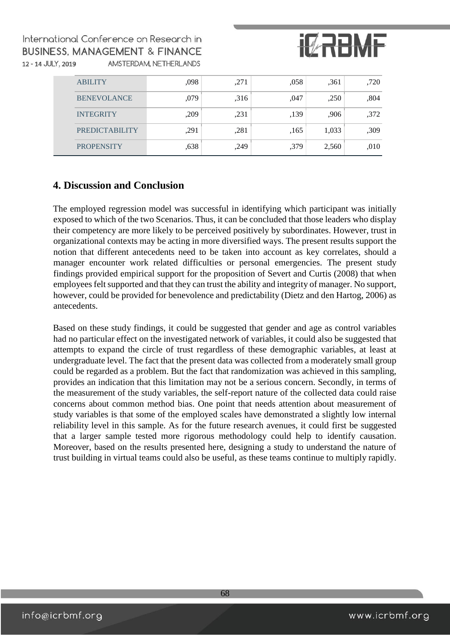

| <b>ABILITY</b>        | .098 | ,271 | ,058 | .361  | .720 |
|-----------------------|------|------|------|-------|------|
| <b>BENEVOLANCE</b>    | .079 | .316 | ,047 | ,250  | .804 |
| <b>INTEGRITY</b>      | ,209 | ,231 | ,139 | .906  | ,372 |
| <b>PREDICTABILITY</b> | ,291 | ,281 | ,165 | 1,033 | ,309 |
| <b>PROPENSITY</b>     | ,638 | .249 | .379 | 2,560 | ,010 |

### **4. Discussion and Conclusion**

The employed regression model was successful in identifying which participant was initially exposed to which of the two Scenarios. Thus, it can be concluded that those leaders who display their competency are more likely to be perceived positively by subordinates. However, trust in organizational contexts may be acting in more diversified ways. The present results support the notion that different antecedents need to be taken into account as key correlates, should a manager encounter work related difficulties or personal emergencies. The present study findings provided empirical support for the proposition of Severt and Curtis (2008) that when employees felt supported and that they can trust the ability and integrity of manager. No support, however, could be provided for benevolence and predictability (Dietz and den Hartog, 2006) as antecedents.

Based on these study findings, it could be suggested that gender and age as control variables had no particular effect on the investigated network of variables, it could also be suggested that attempts to expand the circle of trust regardless of these demographic variables, at least at undergraduate level. The fact that the present data was collected from a moderately small group could be regarded as a problem. But the fact that randomization was achieved in this sampling, provides an indication that this limitation may not be a serious concern. Secondly, in terms of the measurement of the study variables, the self-report nature of the collected data could raise concerns about common method bias. One point that needs attention about measurement of study variables is that some of the employed scales have demonstrated a slightly low internal reliability level in this sample. As for the future research avenues, it could first be suggested that a larger sample tested more rigorous methodology could help to identify causation. Moreover, based on the results presented here, designing a study to understand the nature of trust building in virtual teams could also be useful, as these teams continue to multiply rapidly.